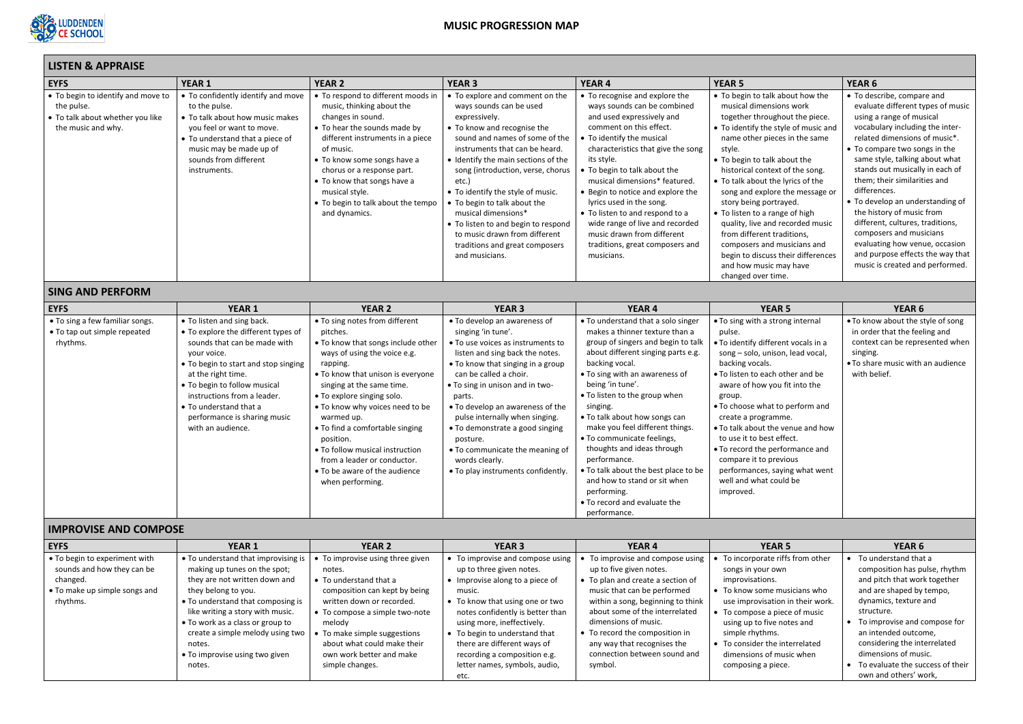

# **MUSIC PROGRESSION MAP**

# **LISTEN & APPRAISE**

| LISTEN & APPRAISE                                                                                          |                                                                                                                                                                                                                                                                                                                              |                                                                                                                                                                                                                                                                                                                                                                                                                                                      |                                                                                                                                                                                                                                                                                                                                                                                                                                                                                             |                                                                                                                                                                                                                                                                                                                                                                                                                                                                                                                                                              |                                                                                                                                                                                                                                                                                                                                                                                                                                                                                                                                                                                |                                                                                                                                                                                                                                                                                                                                                                                                                                                                                                                                                                |
|------------------------------------------------------------------------------------------------------------|------------------------------------------------------------------------------------------------------------------------------------------------------------------------------------------------------------------------------------------------------------------------------------------------------------------------------|------------------------------------------------------------------------------------------------------------------------------------------------------------------------------------------------------------------------------------------------------------------------------------------------------------------------------------------------------------------------------------------------------------------------------------------------------|---------------------------------------------------------------------------------------------------------------------------------------------------------------------------------------------------------------------------------------------------------------------------------------------------------------------------------------------------------------------------------------------------------------------------------------------------------------------------------------------|--------------------------------------------------------------------------------------------------------------------------------------------------------------------------------------------------------------------------------------------------------------------------------------------------------------------------------------------------------------------------------------------------------------------------------------------------------------------------------------------------------------------------------------------------------------|--------------------------------------------------------------------------------------------------------------------------------------------------------------------------------------------------------------------------------------------------------------------------------------------------------------------------------------------------------------------------------------------------------------------------------------------------------------------------------------------------------------------------------------------------------------------------------|----------------------------------------------------------------------------------------------------------------------------------------------------------------------------------------------------------------------------------------------------------------------------------------------------------------------------------------------------------------------------------------------------------------------------------------------------------------------------------------------------------------------------------------------------------------|
| <b>EYFS</b>                                                                                                | <b>YEAR 1</b>                                                                                                                                                                                                                                                                                                                | <b>YEAR 2</b>                                                                                                                                                                                                                                                                                                                                                                                                                                        | <b>YEAR 3</b>                                                                                                                                                                                                                                                                                                                                                                                                                                                                               | <b>YEAR 4</b>                                                                                                                                                                                                                                                                                                                                                                                                                                                                                                                                                | <b>YEAR 5</b>                                                                                                                                                                                                                                                                                                                                                                                                                                                                                                                                                                  | YEAR <sub>6</sub>                                                                                                                                                                                                                                                                                                                                                                                                                                                                                                                                              |
| • To begin to identify and move to<br>the pulse.<br>• To talk about whether you like<br>the music and why. | • To confidently identify and move<br>to the pulse.<br>• To talk about how music makes<br>you feel or want to move.<br>• To understand that a piece of<br>music may be made up of<br>sounds from different<br>instruments.                                                                                                   | • To respond to different moods in<br>music, thinking about the<br>changes in sound.<br>• To hear the sounds made by<br>different instruments in a piece<br>of music.<br>• To know some songs have a<br>chorus or a response part.<br>• To know that songs have a<br>musical style.<br>• To begin to talk about the tempo<br>and dynamics.                                                                                                           | • To explore and comment on the<br>ways sounds can be used<br>expressively.<br>• To know and recognise the<br>sound and names of some of the<br>instruments that can be heard.<br>• Identify the main sections of the<br>song (introduction, verse, chorus<br>etc.)<br>• To identify the style of music.<br>• To begin to talk about the<br>musical dimensions*<br>• To listen to and begin to respond<br>to music drawn from different<br>traditions and great composers<br>and musicians. | • To recognise and explore the<br>ways sounds can be combined<br>and used expressively and<br>comment on this effect.<br>• To identify the musical<br>characteristics that give the song<br>its style.<br>To begin to talk about the<br>musical dimensions* featured.<br>• Begin to notice and explore the<br>lyrics used in the song.<br>• To listen to and respond to a<br>wide range of live and recorded<br>music drawn from different<br>traditions, great composers and<br>musicians.                                                                  | • To begin to talk about how the<br>musical dimensions work<br>together throughout the piece.<br>• To identify the style of music and<br>name other pieces in the same<br>style.<br>• To begin to talk about the<br>historical context of the song.<br>• To talk about the lyrics of the<br>song and explore the message or<br>story being portrayed.<br>• To listen to a range of high<br>quality, live and recorded music<br>from different traditions,<br>composers and musicians and<br>begin to discuss their differences<br>and how music may have<br>changed over time. | • To describe, compare and<br>evaluate different types of music<br>using a range of musical<br>vocabulary including the inter-<br>related dimensions of music*.<br>• To compare two songs in the<br>same style, talking about what<br>stands out musically in each of<br>them; their similarities and<br>differences.<br>• To develop an understanding of<br>the history of music from<br>different, cultures, traditions,<br>composers and musicians<br>evaluating how venue, occasion<br>and purpose effects the way that<br>music is created and performed. |
| <b>SING AND PERFORM</b>                                                                                    |                                                                                                                                                                                                                                                                                                                              |                                                                                                                                                                                                                                                                                                                                                                                                                                                      |                                                                                                                                                                                                                                                                                                                                                                                                                                                                                             |                                                                                                                                                                                                                                                                                                                                                                                                                                                                                                                                                              |                                                                                                                                                                                                                                                                                                                                                                                                                                                                                                                                                                                |                                                                                                                                                                                                                                                                                                                                                                                                                                                                                                                                                                |
| <b>EYFS</b>                                                                                                | <b>YEAR 1</b>                                                                                                                                                                                                                                                                                                                | <b>YEAR 2</b>                                                                                                                                                                                                                                                                                                                                                                                                                                        | <b>YEAR 3</b>                                                                                                                                                                                                                                                                                                                                                                                                                                                                               | <b>YEAR 4</b>                                                                                                                                                                                                                                                                                                                                                                                                                                                                                                                                                | <b>YEAR 5</b>                                                                                                                                                                                                                                                                                                                                                                                                                                                                                                                                                                  | <b>YEAR 6</b>                                                                                                                                                                                                                                                                                                                                                                                                                                                                                                                                                  |
| • To sing a few familiar songs.<br>• To tap out simple repeated<br>rhythms.                                | • To listen and sing back.<br>• To explore the different types of<br>sounds that can be made with<br>your voice.<br>• To begin to start and stop singing<br>at the right time.<br>• To begin to follow musical<br>instructions from a leader.<br>• To understand that a<br>performance is sharing music<br>with an audience. | . To sing notes from different<br>pitches.<br>. To know that songs include other<br>ways of using the voice e.g.<br>rapping.<br>• To know that unison is everyone<br>singing at the same time.<br>• To explore singing solo.<br>. To know why voices need to be<br>warmed up.<br>• To find a comfortable singing<br>position.<br>• To follow musical instruction<br>from a leader or conductor.<br>• To be aware of the audience<br>when performing. | • To develop an awareness of<br>singing 'in tune'.<br>• To use voices as instruments to<br>listen and sing back the notes.<br>• To know that singing in a group<br>can be called a choir.<br>• To sing in unison and in two-<br>parts.<br>• To develop an awareness of the<br>pulse internally when singing.<br>• To demonstrate a good singing<br>posture.<br>• To communicate the meaning of<br>words clearly.<br>• To play instruments confidently.                                      | • To understand that a solo singer<br>makes a thinner texture than a<br>group of singers and begin to talk<br>about different singing parts e.g.<br>backing vocal.<br>• To sing with an awareness of<br>being 'in tune'.<br>• To listen to the group when<br>singing.<br>• To talk about how songs can<br>make you feel different things.<br>• To communicate feelings,<br>thoughts and ideas through<br>performance.<br>. To talk about the best place to be<br>and how to stand or sit when<br>performing.<br>• To record and evaluate the<br>performance. | • To sing with a strong internal<br>pulse.<br>. To identify different vocals in a<br>song - solo, unison, lead vocal,<br>backing vocals.<br>• To listen to each other and be<br>aware of how you fit into the<br>group.<br>. To choose what to perform and<br>create a programme.<br>. To talk about the venue and how<br>to use it to best effect.<br>• To record the performance and<br>compare it to previous<br>performances, saying what went<br>well and what could be<br>improved.                                                                                      | . To know about the style of song<br>in order that the feeling and<br>context can be represented when<br>singing.<br>. To share music with an audience<br>with belief.                                                                                                                                                                                                                                                                                                                                                                                         |
| <b>IMPROVISE AND COMPOSE</b>                                                                               |                                                                                                                                                                                                                                                                                                                              |                                                                                                                                                                                                                                                                                                                                                                                                                                                      |                                                                                                                                                                                                                                                                                                                                                                                                                                                                                             |                                                                                                                                                                                                                                                                                                                                                                                                                                                                                                                                                              |                                                                                                                                                                                                                                                                                                                                                                                                                                                                                                                                                                                |                                                                                                                                                                                                                                                                                                                                                                                                                                                                                                                                                                |
| <b>FYES</b>                                                                                                | YFAR <sub>1</sub>                                                                                                                                                                                                                                                                                                            | YFAR <sub>2</sub>                                                                                                                                                                                                                                                                                                                                                                                                                                    | YFAR <sub>3</sub>                                                                                                                                                                                                                                                                                                                                                                                                                                                                           | YFAR4                                                                                                                                                                                                                                                                                                                                                                                                                                                                                                                                                        | YFAR <sub>5</sub>                                                                                                                                                                                                                                                                                                                                                                                                                                                                                                                                                              | YFAR <sub>6</sub>                                                                                                                                                                                                                                                                                                                                                                                                                                                                                                                                              |

| <b>EYFS</b>                                                                                                          | <b>YEAR 1</b>                                                                                                                                                                                                                                                                                                                        | <b>YEAR 2</b>                                                                                                                                                                                                                                                                                    | <b>YEAR 3</b>                                                                                                                                                                                                                                                                                                                                           | <b>YEAR 4</b>                                                                                                                                                                                                                                                                                                                              | <b>YEAR 5</b>                                                                                                                                                                                                                                                                                                             | <b>YEAR 6</b>                                                                                                                                                                                                                                                                                                                         |
|----------------------------------------------------------------------------------------------------------------------|--------------------------------------------------------------------------------------------------------------------------------------------------------------------------------------------------------------------------------------------------------------------------------------------------------------------------------------|--------------------------------------------------------------------------------------------------------------------------------------------------------------------------------------------------------------------------------------------------------------------------------------------------|---------------------------------------------------------------------------------------------------------------------------------------------------------------------------------------------------------------------------------------------------------------------------------------------------------------------------------------------------------|--------------------------------------------------------------------------------------------------------------------------------------------------------------------------------------------------------------------------------------------------------------------------------------------------------------------------------------------|---------------------------------------------------------------------------------------------------------------------------------------------------------------------------------------------------------------------------------------------------------------------------------------------------------------------------|---------------------------------------------------------------------------------------------------------------------------------------------------------------------------------------------------------------------------------------------------------------------------------------------------------------------------------------|
| • To begin to experiment with<br>sounds and how they can be<br>changed.<br>• To make up simple songs and<br>rhythms. | • To understand that improvising is  <br>making up tunes on the spot;<br>they are not written down and<br>they belong to you.<br>• To understand that composing is<br>like writing a story with music.<br>• To work as a class or group to<br>create a simple melody using two<br>notes.<br>• To improvise using two given<br>notes. | To improvise using three given<br>notes.<br>$\bullet$ To understand that a<br>composition can kept by being<br>written down or recorded.<br>• To compose a simple two-note<br>melody<br>To make simple suggestions<br>about what could make their<br>own work better and make<br>simple changes. | • To improvise and compose using<br>up to three given notes.<br>• Improvise along to a piece of<br>music.<br>• To know that using one or two<br>notes confidently is better than<br>using more, ineffectively.<br>• To begin to understand that<br>there are different ways of<br>recording a composition e.g.<br>letter names, symbols, audio,<br>etc. | • To improvise and compose using<br>up to five given notes.<br>• To plan and create a section of<br>music that can be performed<br>within a song, beginning to think<br>about some of the interrelated<br>dimensions of music.<br>• To record the composition in<br>any way that recognises the<br>connection between sound and<br>symbol. | To incorporate riffs from other<br>songs in your own<br>improvisations.<br>$\bullet$ To know some musicians who<br>use improvisation in their work.<br>• To compose a piece of music<br>using up to five notes and<br>simple rhythms.<br>• To consider the interrelated<br>dimensions of music when<br>composing a piece. | To understand that a<br>composition has pulse, rhythm<br>and pitch that work together<br>and are shaped by tempo,<br>dynamics, texture and<br>structure.<br>To improvise and compose for<br>an intended outcome,<br>considering the interrelated<br>dimensions of music.<br>To evaluate the success of their<br>own and others' work, |